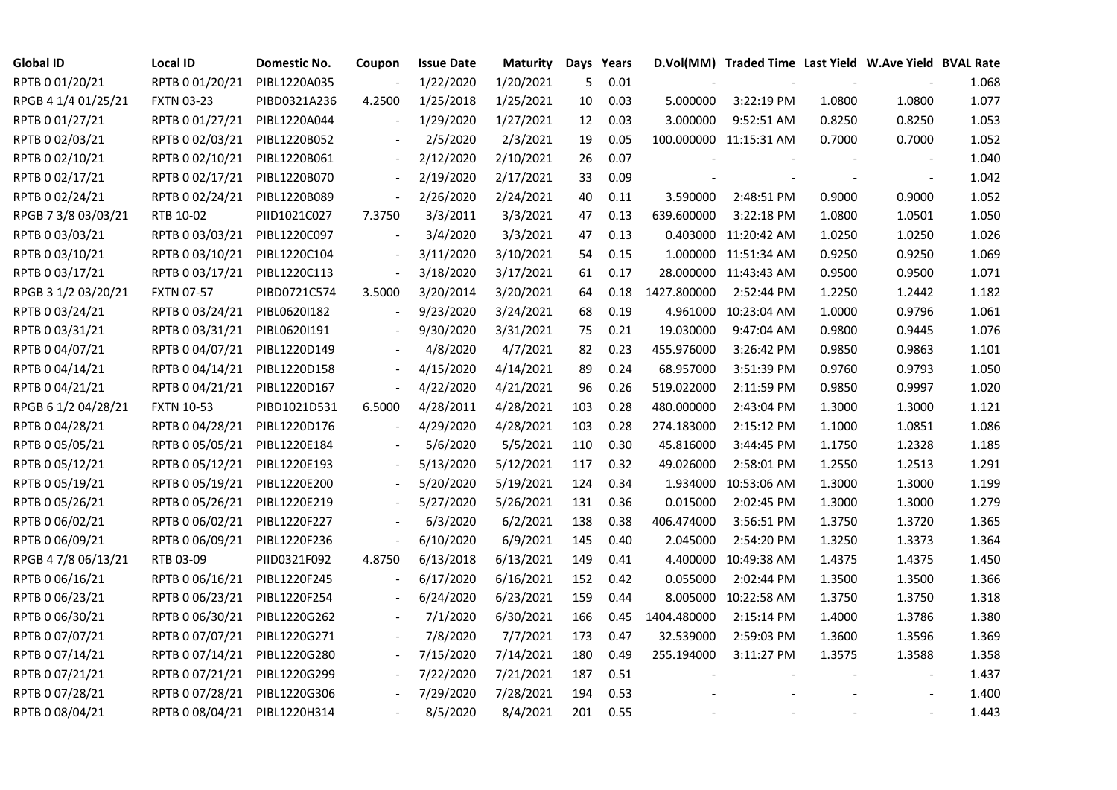| <b>Global ID</b>    | <b>Local ID</b>   | Domestic No. | Coupon                   | <b>Issue Date</b> | <b>Maturity</b> |     | Days Years |             | D.Vol(MM) Traded Time Last Yield W.Ave Yield BVAL Rate |        |                          |       |
|---------------------|-------------------|--------------|--------------------------|-------------------|-----------------|-----|------------|-------------|--------------------------------------------------------|--------|--------------------------|-------|
| RPTB 0 01/20/21     | RPTB 0 01/20/21   | PIBL1220A035 |                          | 1/22/2020         | 1/20/2021       | 5   | 0.01       |             |                                                        |        |                          | 1.068 |
| RPGB 4 1/4 01/25/21 | <b>FXTN 03-23</b> | PIBD0321A236 | 4.2500                   | 1/25/2018         | 1/25/2021       | 10  | 0.03       | 5.000000    | 3:22:19 PM                                             | 1.0800 | 1.0800                   | 1.077 |
| RPTB 0 01/27/21     | RPTB 0 01/27/21   | PIBL1220A044 |                          | 1/29/2020         | 1/27/2021       | 12  | 0.03       | 3.000000    | 9:52:51 AM                                             | 0.8250 | 0.8250                   | 1.053 |
| RPTB 0 02/03/21     | RPTB 0 02/03/21   | PIBL1220B052 |                          | 2/5/2020          | 2/3/2021        | 19  | 0.05       |             | 100.000000 11:15:31 AM                                 | 0.7000 | 0.7000                   | 1.052 |
| RPTB 0 02/10/21     | RPTB 0 02/10/21   | PIBL1220B061 | $\overline{\phantom{a}}$ | 2/12/2020         | 2/10/2021       | 26  | 0.07       |             |                                                        |        |                          | 1.040 |
| RPTB 0 02/17/21     | RPTB 0 02/17/21   | PIBL1220B070 | $\Box$                   | 2/19/2020         | 2/17/2021       | 33  | 0.09       |             |                                                        |        |                          | 1.042 |
| RPTB 0 02/24/21     | RPTB 0 02/24/21   | PIBL1220B089 | $\overline{\phantom{a}}$ | 2/26/2020         | 2/24/2021       | 40  | 0.11       | 3.590000    | 2:48:51 PM                                             | 0.9000 | 0.9000                   | 1.052 |
| RPGB 7 3/8 03/03/21 | RTB 10-02         | PIID1021C027 | 7.3750                   | 3/3/2011          | 3/3/2021        | 47  | 0.13       | 639.600000  | 3:22:18 PM                                             | 1.0800 | 1.0501                   | 1.050 |
| RPTB 0 03/03/21     | RPTB 0 03/03/21   | PIBL1220C097 |                          | 3/4/2020          | 3/3/2021        | 47  | 0.13       |             | 0.403000 11:20:42 AM                                   | 1.0250 | 1.0250                   | 1.026 |
| RPTB 0 03/10/21     | RPTB 0 03/10/21   | PIBL1220C104 | $\overline{\phantom{a}}$ | 3/11/2020         | 3/10/2021       | 54  | 0.15       |             | 1.000000 11:51:34 AM                                   | 0.9250 | 0.9250                   | 1.069 |
| RPTB 0 03/17/21     | RPTB 0 03/17/21   | PIBL1220C113 | $\overline{\phantom{a}}$ | 3/18/2020         | 3/17/2021       | 61  | 0.17       |             | 28.000000 11:43:43 AM                                  | 0.9500 | 0.9500                   | 1.071 |
| RPGB 3 1/2 03/20/21 | <b>FXTN 07-57</b> | PIBD0721C574 | 3.5000                   | 3/20/2014         | 3/20/2021       | 64  | 0.18       | 1427.800000 | 2:52:44 PM                                             | 1.2250 | 1.2442                   | 1.182 |
| RPTB 0 03/24/21     | RPTB 0 03/24/21   | PIBL0620I182 |                          | 9/23/2020         | 3/24/2021       | 68  | 0.19       | 4.961000    | 10:23:04 AM                                            | 1.0000 | 0.9796                   | 1.061 |
| RPTB 0 03/31/21     | RPTB 0 03/31/21   | PIBL0620I191 | $\overline{\phantom{a}}$ | 9/30/2020         | 3/31/2021       | 75  | 0.21       | 19.030000   | 9:47:04 AM                                             | 0.9800 | 0.9445                   | 1.076 |
| RPTB 0 04/07/21     | RPTB 0 04/07/21   | PIBL1220D149 |                          | 4/8/2020          | 4/7/2021        | 82  | 0.23       | 455.976000  | 3:26:42 PM                                             | 0.9850 | 0.9863                   | 1.101 |
| RPTB 0 04/14/21     | RPTB 0 04/14/21   | PIBL1220D158 |                          | 4/15/2020         | 4/14/2021       | 89  | 0.24       | 68.957000   | 3:51:39 PM                                             | 0.9760 | 0.9793                   | 1.050 |
| RPTB 0 04/21/21     | RPTB 0 04/21/21   | PIBL1220D167 | $\overline{\phantom{a}}$ | 4/22/2020         | 4/21/2021       | 96  | 0.26       | 519.022000  | 2:11:59 PM                                             | 0.9850 | 0.9997                   | 1.020 |
| RPGB 6 1/2 04/28/21 | <b>FXTN 10-53</b> | PIBD1021D531 | 6.5000                   | 4/28/2011         | 4/28/2021       | 103 | 0.28       | 480.000000  | 2:43:04 PM                                             | 1.3000 | 1.3000                   | 1.121 |
| RPTB 0 04/28/21     | RPTB 0 04/28/21   | PIBL1220D176 | $\overline{\phantom{a}}$ | 4/29/2020         | 4/28/2021       | 103 | 0.28       | 274.183000  | 2:15:12 PM                                             | 1.1000 | 1.0851                   | 1.086 |
| RPTB 0 05/05/21     | RPTB 0 05/05/21   | PIBL1220E184 |                          | 5/6/2020          | 5/5/2021        | 110 | 0.30       | 45.816000   | 3:44:45 PM                                             | 1.1750 | 1.2328                   | 1.185 |
| RPTB 0 05/12/21     | RPTB 0 05/12/21   | PIBL1220E193 | $\overline{\phantom{a}}$ | 5/13/2020         | 5/12/2021       | 117 | 0.32       | 49.026000   | 2:58:01 PM                                             | 1.2550 | 1.2513                   | 1.291 |
| RPTB 0 05/19/21     | RPTB 0 05/19/21   | PIBL1220E200 |                          | 5/20/2020         | 5/19/2021       | 124 | 0.34       | 1.934000    | 10:53:06 AM                                            | 1.3000 | 1.3000                   | 1.199 |
| RPTB 0 05/26/21     | RPTB 0 05/26/21   | PIBL1220E219 |                          | 5/27/2020         | 5/26/2021       | 131 | 0.36       | 0.015000    | 2:02:45 PM                                             | 1.3000 | 1.3000                   | 1.279 |
| RPTB 0 06/02/21     | RPTB 0 06/02/21   | PIBL1220F227 |                          | 6/3/2020          | 6/2/2021        | 138 | 0.38       | 406.474000  | 3:56:51 PM                                             | 1.3750 | 1.3720                   | 1.365 |
| RPTB 0 06/09/21     | RPTB 0 06/09/21   | PIBL1220F236 | $\overline{\phantom{a}}$ | 6/10/2020         | 6/9/2021        | 145 | 0.40       | 2.045000    | 2:54:20 PM                                             | 1.3250 | 1.3373                   | 1.364 |
| RPGB 4 7/8 06/13/21 | RTB 03-09         | PIID0321F092 | 4.8750                   | 6/13/2018         | 6/13/2021       | 149 | 0.41       | 4.400000    | 10:49:38 AM                                            | 1.4375 | 1.4375                   | 1.450 |
| RPTB 0 06/16/21     | RPTB 0 06/16/21   | PIBL1220F245 |                          | 6/17/2020         | 6/16/2021       | 152 | 0.42       | 0.055000    | 2:02:44 PM                                             | 1.3500 | 1.3500                   | 1.366 |
| RPTB 0 06/23/21     | RPTB 0 06/23/21   | PIBL1220F254 | $\overline{\phantom{a}}$ | 6/24/2020         | 6/23/2021       | 159 | 0.44       |             | 8.005000 10:22:58 AM                                   | 1.3750 | 1.3750                   | 1.318 |
| RPTB 0 06/30/21     | RPTB 0 06/30/21   | PIBL1220G262 |                          | 7/1/2020          | 6/30/2021       | 166 | 0.45       | 1404.480000 | 2:15:14 PM                                             | 1.4000 | 1.3786                   | 1.380 |
| RPTB 0 07/07/21     | RPTB 0 07/07/21   | PIBL1220G271 |                          | 7/8/2020          | 7/7/2021        | 173 | 0.47       | 32.539000   | 2:59:03 PM                                             | 1.3600 | 1.3596                   | 1.369 |
| RPTB 0 07/14/21     | RPTB 0 07/14/21   | PIBL1220G280 |                          | 7/15/2020         | 7/14/2021       | 180 | 0.49       | 255.194000  | 3:11:27 PM                                             | 1.3575 | 1.3588                   | 1.358 |
| RPTB 0 07/21/21     | RPTB 0 07/21/21   | PIBL1220G299 | $\blacksquare$           | 7/22/2020         | 7/21/2021       | 187 | 0.51       |             |                                                        |        | $\overline{\phantom{a}}$ | 1.437 |
| RPTB 0 07/28/21     | RPTB 0 07/28/21   | PIBL1220G306 |                          | 7/29/2020         | 7/28/2021       | 194 | 0.53       |             |                                                        |        |                          | 1.400 |
| RPTB 0 08/04/21     | RPTB 0 08/04/21   | PIBL1220H314 |                          | 8/5/2020          | 8/4/2021        | 201 | 0.55       |             |                                                        |        |                          | 1.443 |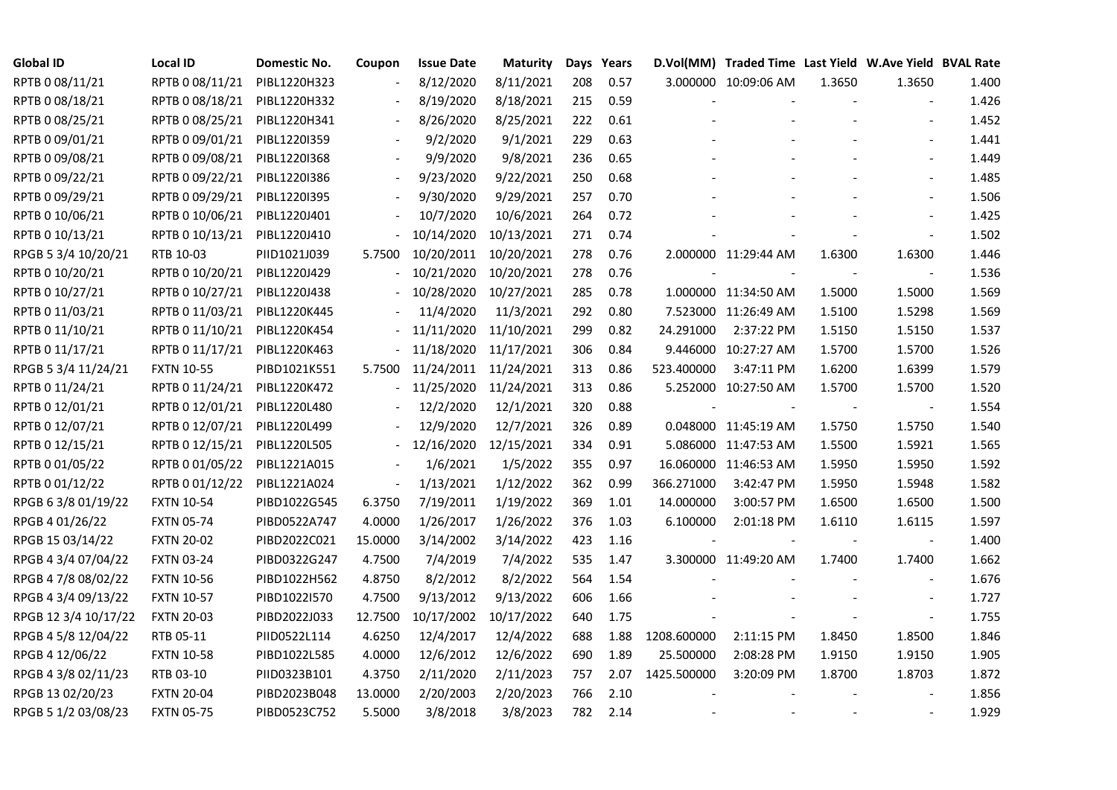| <b>Global ID</b>     | <b>Local ID</b>   | Domestic No. | Coupon                   | <b>Issue Date</b> | <b>Maturity</b> |     | Days Years |             | D.Vol(MM) Traded Time Last Yield W.Ave Yield BVAL Rate |        |                          |       |
|----------------------|-------------------|--------------|--------------------------|-------------------|-----------------|-----|------------|-------------|--------------------------------------------------------|--------|--------------------------|-------|
| RPTB 0 08/11/21      | RPTB 0 08/11/21   | PIBL1220H323 |                          | 8/12/2020         | 8/11/2021       | 208 | 0.57       |             | 3.000000 10:09:06 AM                                   | 1.3650 | 1.3650                   | 1.400 |
| RPTB 0 08/18/21      | RPTB 0 08/18/21   | PIBL1220H332 |                          | 8/19/2020         | 8/18/2021       | 215 | 0.59       |             |                                                        |        |                          | 1.426 |
| RPTB 0 08/25/21      | RPTB 0 08/25/21   | PIBL1220H341 | $\overline{\phantom{a}}$ | 8/26/2020         | 8/25/2021       | 222 | 0.61       |             |                                                        |        | $\blacksquare$           | 1.452 |
| RPTB 0 09/01/21      | RPTB 0 09/01/21   | PIBL1220I359 | $\blacksquare$           | 9/2/2020          | 9/1/2021        | 229 | 0.63       |             |                                                        |        | $\blacksquare$           | 1.441 |
| RPTB 0 09/08/21      | RPTB 0 09/08/21   | PIBL1220I368 |                          | 9/9/2020          | 9/8/2021        | 236 | 0.65       |             |                                                        |        |                          | 1.449 |
| RPTB 0 09/22/21      | RPTB 0 09/22/21   | PIBL1220I386 |                          | 9/23/2020         | 9/22/2021       | 250 | 0.68       |             |                                                        |        | $\blacksquare$           | 1.485 |
| RPTB 0 09/29/21      | RPTB 0 09/29/21   | PIBL1220I395 |                          | 9/30/2020         | 9/29/2021       | 257 | 0.70       |             |                                                        |        |                          | 1.506 |
| RPTB 0 10/06/21      | RPTB 0 10/06/21   | PIBL1220J401 |                          | 10/7/2020         | 10/6/2021       | 264 | 0.72       |             |                                                        |        |                          | 1.425 |
| RPTB 0 10/13/21      | RPTB 0 10/13/21   | PIBL1220J410 |                          | 10/14/2020        | 10/13/2021      | 271 | 0.74       |             |                                                        |        |                          | 1.502 |
| RPGB 5 3/4 10/20/21  | RTB 10-03         | PIID1021J039 | 5.7500                   | 10/20/2011        | 10/20/2021      | 278 | 0.76       |             | 2.000000 11:29:44 AM                                   | 1.6300 | 1.6300                   | 1.446 |
| RPTB 0 10/20/21      | RPTB 0 10/20/21   | PIBL1220J429 |                          | 10/21/2020        | 10/20/2021      | 278 | 0.76       |             |                                                        |        | $\blacksquare$           | 1.536 |
| RPTB 0 10/27/21      | RPTB 0 10/27/21   | PIBL1220J438 |                          | 10/28/2020        | 10/27/2021      | 285 | 0.78       |             | 1.000000 11:34:50 AM                                   | 1.5000 | 1.5000                   | 1.569 |
| RPTB 0 11/03/21      | RPTB 0 11/03/21   | PIBL1220K445 |                          | 11/4/2020         | 11/3/2021       | 292 | 0.80       |             | 7.523000 11:26:49 AM                                   | 1.5100 | 1.5298                   | 1.569 |
| RPTB 0 11/10/21      | RPTB 0 11/10/21   | PIBL1220K454 |                          | 11/11/2020        | 11/10/2021      | 299 | 0.82       | 24.291000   | 2:37:22 PM                                             | 1.5150 | 1.5150                   | 1.537 |
| RPTB 0 11/17/21      | RPTB 0 11/17/21   | PIBL1220K463 |                          | 11/18/2020        | 11/17/2021      | 306 | 0.84       |             | 9.446000 10:27:27 AM                                   | 1.5700 | 1.5700                   | 1.526 |
| RPGB 5 3/4 11/24/21  | <b>FXTN 10-55</b> | PIBD1021K551 | 5.7500                   | 11/24/2011        | 11/24/2021      | 313 | 0.86       | 523.400000  | 3:47:11 PM                                             | 1.6200 | 1.6399                   | 1.579 |
| RPTB 0 11/24/21      | RPTB 0 11/24/21   | PIBL1220K472 |                          | 11/25/2020        | 11/24/2021      | 313 | 0.86       |             | 5.252000 10:27:50 AM                                   | 1.5700 | 1.5700                   | 1.520 |
| RPTB 0 12/01/21      | RPTB 0 12/01/21   | PIBL1220L480 |                          | 12/2/2020         | 12/1/2021       | 320 | 0.88       |             |                                                        |        |                          | 1.554 |
| RPTB 0 12/07/21      | RPTB 0 12/07/21   | PIBL1220L499 |                          | 12/9/2020         | 12/7/2021       | 326 | 0.89       |             | 0.048000 11:45:19 AM                                   | 1.5750 | 1.5750                   | 1.540 |
| RPTB 0 12/15/21      | RPTB 0 12/15/21   | PIBL1220L505 | $\blacksquare$           | 12/16/2020        | 12/15/2021      | 334 | 0.91       |             | 5.086000 11:47:53 AM                                   | 1.5500 | 1.5921                   | 1.565 |
| RPTB 0 01/05/22      | RPTB 0 01/05/22   | PIBL1221A015 |                          | 1/6/2021          | 1/5/2022        | 355 | 0.97       |             | 16.060000 11:46:53 AM                                  | 1.5950 | 1.5950                   | 1.592 |
| RPTB 0 01/12/22      | RPTB 0 01/12/22   | PIBL1221A024 | $\overline{\phantom{a}}$ | 1/13/2021         | 1/12/2022       | 362 | 0.99       | 366.271000  | 3:42:47 PM                                             | 1.5950 | 1.5948                   | 1.582 |
| RPGB 63/8 01/19/22   | <b>FXTN 10-54</b> | PIBD1022G545 | 6.3750                   | 7/19/2011         | 1/19/2022       | 369 | 1.01       | 14.000000   | 3:00:57 PM                                             | 1.6500 | 1.6500                   | 1.500 |
| RPGB 4 01/26/22      | <b>FXTN 05-74</b> | PIBD0522A747 | 4.0000                   | 1/26/2017         | 1/26/2022       | 376 | 1.03       | 6.100000    | 2:01:18 PM                                             | 1.6110 | 1.6115                   | 1.597 |
| RPGB 15 03/14/22     | <b>FXTN 20-02</b> | PIBD2022C021 | 15.0000                  | 3/14/2002         | 3/14/2022       | 423 | 1.16       |             |                                                        |        | $\overline{\phantom{a}}$ | 1.400 |
| RPGB 4 3/4 07/04/22  | <b>FXTN 03-24</b> | PIBD0322G247 | 4.7500                   | 7/4/2019          | 7/4/2022        | 535 | 1.47       |             | 3.300000 11:49:20 AM                                   | 1.7400 | 1.7400                   | 1.662 |
| RPGB 4 7/8 08/02/22  | <b>FXTN 10-56</b> | PIBD1022H562 | 4.8750                   | 8/2/2012          | 8/2/2022        | 564 | 1.54       |             |                                                        |        | $\overline{\phantom{a}}$ | 1.676 |
| RPGB 4 3/4 09/13/22  | <b>FXTN 10-57</b> | PIBD1022I570 | 4.7500                   | 9/13/2012         | 9/13/2022       | 606 | 1.66       |             |                                                        |        | $\sim$                   | 1.727 |
| RPGB 12 3/4 10/17/22 | <b>FXTN 20-03</b> | PIBD2022J033 | 12.7500                  | 10/17/2002        | 10/17/2022      | 640 | 1.75       |             |                                                        |        | $\blacksquare$           | 1.755 |
| RPGB 4 5/8 12/04/22  | RTB 05-11         | PIID0522L114 | 4.6250                   | 12/4/2017         | 12/4/2022       | 688 | 1.88       | 1208.600000 | 2:11:15 PM                                             | 1.8450 | 1.8500                   | 1.846 |
| RPGB 4 12/06/22      | <b>FXTN 10-58</b> | PIBD1022L585 | 4.0000                   | 12/6/2012         | 12/6/2022       | 690 | 1.89       | 25.500000   | 2:08:28 PM                                             | 1.9150 | 1.9150                   | 1.905 |
| RPGB 4 3/8 02/11/23  | RTB 03-10         | PIID0323B101 | 4.3750                   | 2/11/2020         | 2/11/2023       | 757 | 2.07       | 1425.500000 | 3:20:09 PM                                             | 1.8700 | 1.8703                   | 1.872 |
| RPGB 13 02/20/23     | <b>FXTN 20-04</b> | PIBD2023B048 | 13.0000                  | 2/20/2003         | 2/20/2023       | 766 | 2.10       |             |                                                        |        |                          | 1.856 |
| RPGB 5 1/2 03/08/23  | <b>FXTN 05-75</b> | PIBD0523C752 | 5.5000                   | 3/8/2018          | 3/8/2023        | 782 | 2.14       |             |                                                        |        |                          | 1.929 |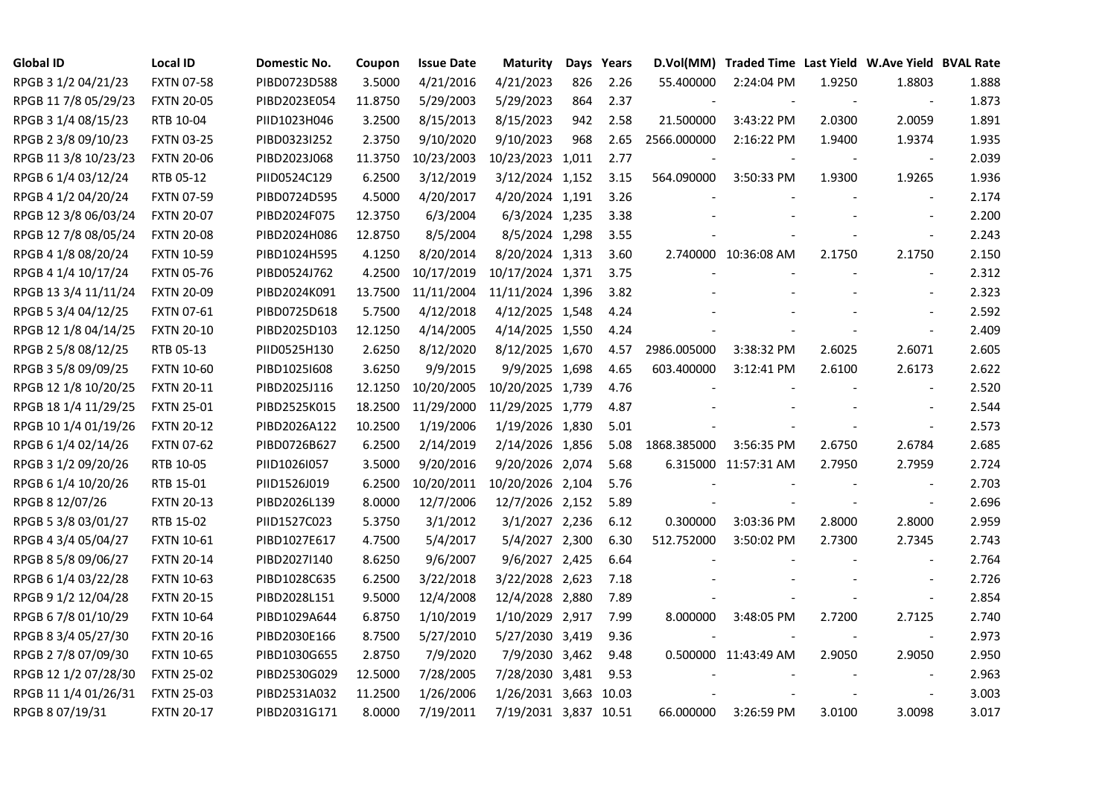| <b>Global ID</b>     | <b>Local ID</b>   | Domestic No. | Coupon  | <b>Issue Date</b> | <b>Maturity</b>       |     | Days Years |             | D.Vol(MM) Traded Time Last Yield W.Ave Yield BVAL Rate |        |                          |       |
|----------------------|-------------------|--------------|---------|-------------------|-----------------------|-----|------------|-------------|--------------------------------------------------------|--------|--------------------------|-------|
| RPGB 3 1/2 04/21/23  | <b>FXTN 07-58</b> | PIBD0723D588 | 3.5000  | 4/21/2016         | 4/21/2023             | 826 | 2.26       | 55.400000   | 2:24:04 PM                                             | 1.9250 | 1.8803                   | 1.888 |
| RPGB 11 7/8 05/29/23 | <b>FXTN 20-05</b> | PIBD2023E054 | 11.8750 | 5/29/2003         | 5/29/2023             | 864 | 2.37       |             |                                                        |        | $\blacksquare$           | 1.873 |
| RPGB 3 1/4 08/15/23  | RTB 10-04         | PIID1023H046 | 3.2500  | 8/15/2013         | 8/15/2023             | 942 | 2.58       | 21.500000   | 3:43:22 PM                                             | 2.0300 | 2.0059                   | 1.891 |
| RPGB 2 3/8 09/10/23  | <b>FXTN 03-25</b> | PIBD0323I252 | 2.3750  | 9/10/2020         | 9/10/2023             | 968 | 2.65       | 2566.000000 | 2:16:22 PM                                             | 1.9400 | 1.9374                   | 1.935 |
| RPGB 11 3/8 10/23/23 | <b>FXTN 20-06</b> | PIBD2023J068 | 11.3750 | 10/23/2003        | 10/23/2023 1,011      |     | 2.77       |             |                                                        |        | $\overline{\phantom{a}}$ | 2.039 |
| RPGB 6 1/4 03/12/24  | RTB 05-12         | PIID0524C129 | 6.2500  | 3/12/2019         | 3/12/2024 1,152       |     | 3.15       | 564.090000  | 3:50:33 PM                                             | 1.9300 | 1.9265                   | 1.936 |
| RPGB 4 1/2 04/20/24  | <b>FXTN 07-59</b> | PIBD0724D595 | 4.5000  | 4/20/2017         | 4/20/2024 1,191       |     | 3.26       |             |                                                        |        |                          | 2.174 |
| RPGB 12 3/8 06/03/24 | <b>FXTN 20-07</b> | PIBD2024F075 | 12.3750 | 6/3/2004          | 6/3/2024 1,235        |     | 3.38       |             |                                                        |        |                          | 2.200 |
| RPGB 12 7/8 08/05/24 | <b>FXTN 20-08</b> | PIBD2024H086 | 12.8750 | 8/5/2004          | 8/5/2024 1,298        |     | 3.55       |             |                                                        |        |                          | 2.243 |
| RPGB 4 1/8 08/20/24  | <b>FXTN 10-59</b> | PIBD1024H595 | 4.1250  | 8/20/2014         | 8/20/2024 1,313       |     | 3.60       |             | 2.740000 10:36:08 AM                                   | 2.1750 | 2.1750                   | 2.150 |
| RPGB 4 1/4 10/17/24  | <b>FXTN 05-76</b> | PIBD0524J762 | 4.2500  | 10/17/2019        | 10/17/2024 1,371      |     | 3.75       |             |                                                        |        | $\blacksquare$           | 2.312 |
| RPGB 13 3/4 11/11/24 | <b>FXTN 20-09</b> | PIBD2024K091 | 13.7500 | 11/11/2004        | 11/11/2024 1,396      |     | 3.82       |             |                                                        |        |                          | 2.323 |
| RPGB 5 3/4 04/12/25  | <b>FXTN 07-61</b> | PIBD0725D618 | 5.7500  | 4/12/2018         | 4/12/2025 1,548       |     | 4.24       |             |                                                        |        | $\sim$                   | 2.592 |
| RPGB 12 1/8 04/14/25 | <b>FXTN 20-10</b> | PIBD2025D103 | 12.1250 | 4/14/2005         | 4/14/2025 1,550       |     | 4.24       |             |                                                        |        | $\blacksquare$           | 2.409 |
| RPGB 2 5/8 08/12/25  | RTB 05-13         | PIID0525H130 | 2.6250  | 8/12/2020         | 8/12/2025 1,670       |     | 4.57       | 2986.005000 | 3:38:32 PM                                             | 2.6025 | 2.6071                   | 2.605 |
| RPGB 3 5/8 09/09/25  | <b>FXTN 10-60</b> | PIBD10251608 | 3.6250  | 9/9/2015          | 9/9/2025 1,698        |     | 4.65       | 603.400000  | 3:12:41 PM                                             | 2.6100 | 2.6173                   | 2.622 |
| RPGB 12 1/8 10/20/25 | <b>FXTN 20-11</b> | PIBD2025J116 | 12.1250 | 10/20/2005        | 10/20/2025 1,739      |     | 4.76       |             |                                                        |        |                          | 2.520 |
| RPGB 18 1/4 11/29/25 | <b>FXTN 25-01</b> | PIBD2525K015 | 18.2500 | 11/29/2000        | 11/29/2025 1,779      |     | 4.87       |             |                                                        |        |                          | 2.544 |
| RPGB 10 1/4 01/19/26 | <b>FXTN 20-12</b> | PIBD2026A122 | 10.2500 | 1/19/2006         | 1/19/2026 1,830       |     | 5.01       |             |                                                        |        | $\blacksquare$           | 2.573 |
| RPGB 6 1/4 02/14/26  | <b>FXTN 07-62</b> | PIBD0726B627 | 6.2500  | 2/14/2019         | 2/14/2026 1,856       |     | 5.08       | 1868.385000 | 3:56:35 PM                                             | 2.6750 | 2.6784                   | 2.685 |
| RPGB 3 1/2 09/20/26  | RTB 10-05         | PIID1026I057 | 3.5000  | 9/20/2016         | 9/20/2026 2,074       |     | 5.68       |             | 6.315000 11:57:31 AM                                   | 2.7950 | 2.7959                   | 2.724 |
| RPGB 6 1/4 10/20/26  | RTB 15-01         | PIID1526J019 | 6.2500  | 10/20/2011        | 10/20/2026 2,104      |     | 5.76       |             |                                                        |        |                          | 2.703 |
| RPGB 8 12/07/26      | <b>FXTN 20-13</b> | PIBD2026L139 | 8.0000  | 12/7/2006         | 12/7/2026 2,152       |     | 5.89       |             |                                                        |        | $\blacksquare$           | 2.696 |
| RPGB 5 3/8 03/01/27  | RTB 15-02         | PIID1527C023 | 5.3750  | 3/1/2012          | 3/1/2027 2,236        |     | 6.12       | 0.300000    | 3:03:36 PM                                             | 2.8000 | 2.8000                   | 2.959 |
| RPGB 4 3/4 05/04/27  | <b>FXTN 10-61</b> | PIBD1027E617 | 4.7500  | 5/4/2017          | 5/4/2027 2,300        |     | 6.30       | 512.752000  | 3:50:02 PM                                             | 2.7300 | 2.7345                   | 2.743 |
| RPGB 8 5/8 09/06/27  | <b>FXTN 20-14</b> | PIBD2027I140 | 8.6250  | 9/6/2007          | 9/6/2027 2,425        |     | 6.64       |             |                                                        |        | $\blacksquare$           | 2.764 |
| RPGB 6 1/4 03/22/28  | <b>FXTN 10-63</b> | PIBD1028C635 | 6.2500  | 3/22/2018         | 3/22/2028 2,623       |     | 7.18       |             |                                                        |        | $\blacksquare$           | 2.726 |
| RPGB 9 1/2 12/04/28  | <b>FXTN 20-15</b> | PIBD2028L151 | 9.5000  | 12/4/2008         | 12/4/2028 2,880       |     | 7.89       |             |                                                        |        | $\blacksquare$           | 2.854 |
| RPGB 67/8 01/10/29   | <b>FXTN 10-64</b> | PIBD1029A644 | 6.8750  | 1/10/2019         | 1/10/2029 2,917       |     | 7.99       | 8.000000    | 3:48:05 PM                                             | 2.7200 | 2.7125                   | 2.740 |
| RPGB 8 3/4 05/27/30  | <b>FXTN 20-16</b> | PIBD2030E166 | 8.7500  | 5/27/2010         | 5/27/2030 3,419       |     | 9.36       |             |                                                        |        | $\sim$                   | 2.973 |
| RPGB 2 7/8 07/09/30  | <b>FXTN 10-65</b> | PIBD1030G655 | 2.8750  | 7/9/2020          | 7/9/2030 3,462        |     | 9.48       |             | 0.500000 11:43:49 AM                                   | 2.9050 | 2.9050                   | 2.950 |
| RPGB 12 1/2 07/28/30 | <b>FXTN 25-02</b> | PIBD2530G029 | 12.5000 | 7/28/2005         | 7/28/2030 3,481       |     | 9.53       |             |                                                        |        |                          | 2.963 |
| RPGB 11 1/4 01/26/31 | <b>FXTN 25-03</b> | PIBD2531A032 | 11.2500 | 1/26/2006         | 1/26/2031 3,663 10.03 |     |            |             |                                                        |        |                          | 3.003 |
| RPGB 8 07/19/31      | <b>FXTN 20-17</b> | PIBD2031G171 | 8.0000  | 7/19/2011         | 7/19/2031 3,837 10.51 |     |            | 66.000000   | 3:26:59 PM                                             | 3.0100 | 3.0098                   | 3.017 |